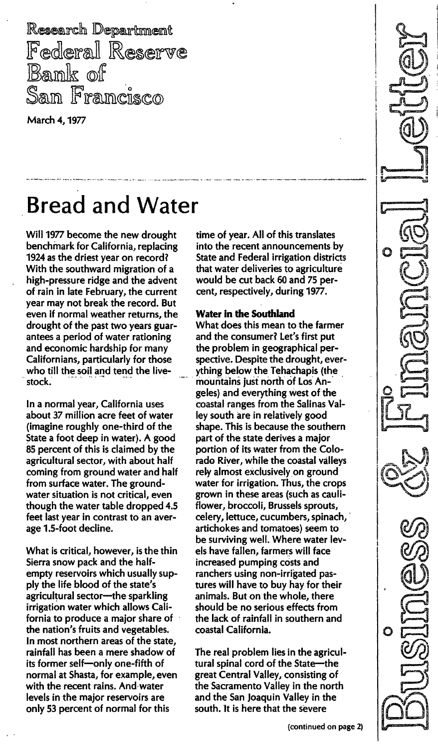Research Department Federal Reserve Bank of San Francisco

March 4, 1977

## **Bread and Water**

Will 1977 become the new drought benchmark for California, replacing 1924 as the driest year on record? With the southward migration of a high-pressure ridge and the advent of rain in late February, the current year may not break the record. But even if normal weather returns, the drought of the past two years guarantees a period of water rationing and economic hardship for many Californians, particularly for those who till the soil and tend the livestock.

In a normal year, California uses about 37 million acre feet of water (imagine roughly one-third of the State a foot deep in water). A good 85 percent of this is claimed by the agricultural sector, with about half coming from ground water and half from surface water. The groundwater situation is not critical, even though the water table dropped 4.5 feet last year in contrast to an average 1.5-foot decline.

What is critical, however, is the thin Sierra snow pack and the halfempty reservoirs which usually supply the life blood of the state's agricultural sector-the sparkling irrigation water which allows California to produce a major share of the nation's fruits and vegetables. In most northern areas of the state, rainfall has been a mere shadow of its former self-only one-fifth of normal at Shasta, for example, even with the recent rains. And water levels in the major reservoirs are only 53 percent of normal for this

time of year. All of this translates into the recent announcements by State and Federal irrigation districts that water deliveries to agriculture would be cut back 60 and 75 percent, respectively, during 1977.

## Water in the Southland

What does this mean to the farmer and the consumer? Let's first put the problem in geographical perspective. Despite the drought, everything below the Tehachapis (the mountains just north of Los Angeles) and everything west of the coastal ranges from the Salinas Valley south are in relatively good shape. This is because the southern part of the state derives a major portion of its water from the Colorado River, while the coastal valleys rely almost exclusively on ground water for irrigation. Thus, the crops grown in these areas (such as cauliflower, broccoli, Brussels sprouts, celery, lettuce, cucumbers, spinach, artichokes and tomatoes) seem to be surviving well. Where water levels have fallen, farmers will face increased pumping costs and ranchers using non-irrigated pastures will have to buy hay for their animals. But on the whole, there should be no serious effects from the lack of rainfall in southern and coastal California.

The real problem lies in the agricultural spinal cord of the State-the great Central Valley, consisting of the Sacramento Valley in the north and the San Joaquin Valley in the south. It is here that the severe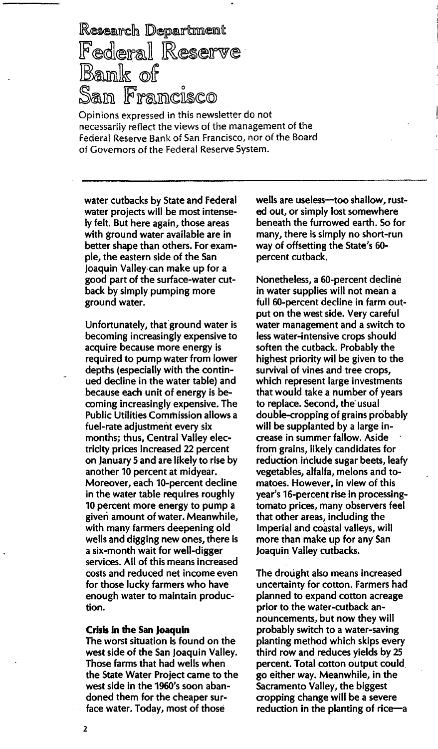Research Department Federal Reserve Bank of Sam Framcisco

Opinions expressed in this newsletter do not necessarily reflect the views of the management of the Federal Reserve Bank of San Francisco, nor of the Board of Governors of the Federal Reserve System.

-. -.--. -.. -. ---\_. \_---\_. \_. \_-----\_. \_-------------

water cutbacks by State and Federal water projects will be most intensely felt. But here again, those areas with ground water available are in better shape than others. For example, the eastern side of the San Joaquin Valley can make up for a good part of the surface-water cutback by simply pumping more ground water.

Unfortunately, that ground water is becoming increasingly expensive to acquire because more energy is required to pump water from lower depths (especially with the continued decline in the water table) and because each unit of energy is becoming increasingly expensive. The Public Utilities Commission allows a fuel-rate adjustment every six months; thus, Central Valley electricity prices increased 22 percent on January 5 and are likely to rise by another 10 percent at midyear. Moreover, each 10-percent decline in the water table requires roughly 10 percent more energy to pump a given amount of water. Meanwhile, with many farmers deepening old wells and digging new ones, there is a six-month wait for well-digger services. All of this means increased costs and reduced net income even for those lucky farmers who have enough water to maintain production.

## Crisis in the San Joaquin

The worst situation is found on the west side of the San Joaquin Valley. Those farms that had wells when the State Water Project came to the west side in the 1960's soon abandoned them for the cheaper surface water. Today, most of those

wells are useless-too shallow, rusted out, or simply lost somewhere beneath the furrowed earth. So for many, there is simply no short-run way of offsetting the State's 60 percent cutback.

Nonetheless, a 60-percent decline in water supplies will not mean a full 60-percent decline in farm output on the west side. Very careful water management and a switch to less water-intensive crops should soften the cutback. Probably the highest priority wi! be given to the survival of vines and tree crops, which represent large investments that would take a number of years to replace. Second, the usual double-cropping of grains probably will be supplanted by a large increase in summer fallow. Aside from grains, likely candidates for reduction include sugar beets, leafy vegetables, alfalfa, melons and tomatoes. However, in view of this year's 16-percent rise in processingtomato prices, many observers feel that other areas, including the Imperial and coastal valleys, will more than make up for any San Joaquin Valley cutbacks.

The drought also means increased uncertainty for cotton. Farmers had planned to expand cotton acreage prior to the water-cutback announcements, but now they will probably switch to a water-saving planting method which skips every third row and reduces yields by 25 percent. Total cotton output could go either way. Meanwhile, in the Sacramento Valley, the biggest cropping change will be a severe reduction in the planting of rice-a

2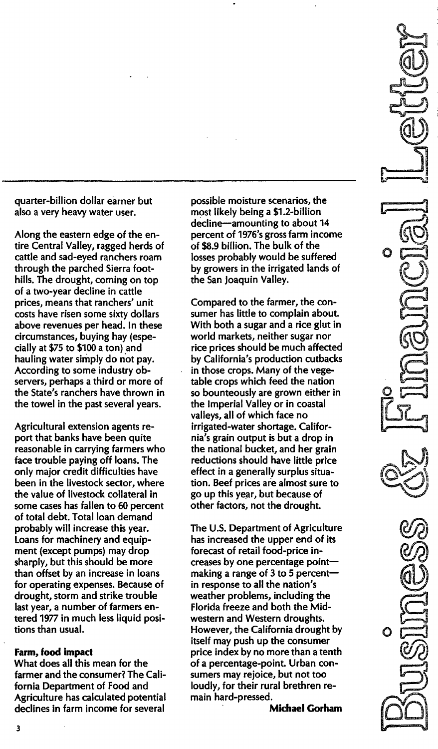quarter-billion dollar earner but also a very heavy water user.

Along the eastern edge of the entire Central Valley, ragged herds of cattle and sad-eyed ranchers roam through the parched Sierra foothills. The drought, coming on top of a two-year decline in cattle prices, means that ranchers' unit costs have risen some sixty dollars above revenues per head. In these circumstances, buying hay (especially at \$75 to \$100 a ton) and hauling water simply do not pay. According to some industry observers, perhaps a third or more of the State's ranchers have thrown in the towel in the past several years.

Agricultural extension agents report that banks have been quite reasonable in carrying farmers who face trouble paying off loans. The only major credit difficulties have been in the livestock sector, where the value of livestock collateral in some cases has fallen to 60 percent of total debt. Total loan demand probably will increase this year. Loans for machinery and equipment (except pumps) may drop sharply, but this should be more than offset by an increase in loans for operating expenses. Because of drought, storm and strike trouble last year, a number of farmers entered 1977 in much less liquid positions than usual.

## farm, food impact

What does all this mean for the farmer and the consumer? The California Department of Food and Agriculture has calculated potential declines in farm income for several

possible moisture scenarios, the most likely being a \$1.2-billion decline-amounting to about 14 percent of 1976's gross farm income of \$8.9 biilion. The bulk of the losses probably would be suffered by growers in the irrigated lands of the San Joaquin Valley.

Compared to the farmer, the consumer has little to complain about. With both a sugar and a rice glut in world markets, neither sugar nor rice prices should be much affected by California's production cutbacks in those crops. Many of the vegetable crops which feed the nation so bounteously are grown either in the Imperial Valley or in coastal valleys, all of which face no irrigated-water shortage. California's grain output is but a drop in the national bucket, and her grain reductions should have littte price effect in a generally surplus situation. Beef prices are almost sure to go up this year, but because of other factors, not the drought.

The U.S. Department of Agriculture has increased the upper end of its forecast of retail food-price increases by one percentage pointmaking a range of 3 to 5 percent $$ in response to all the nation's weather problems, including the Florida freeze and both the Midwestern and Western droughts. However, the California drought by itself may push up the consumer price index by no more than a tenth of a percentage-point. Urban consumers may rejoice, but not too loudly, for their rural brethren remain hard-pressed.

Michael Gorham